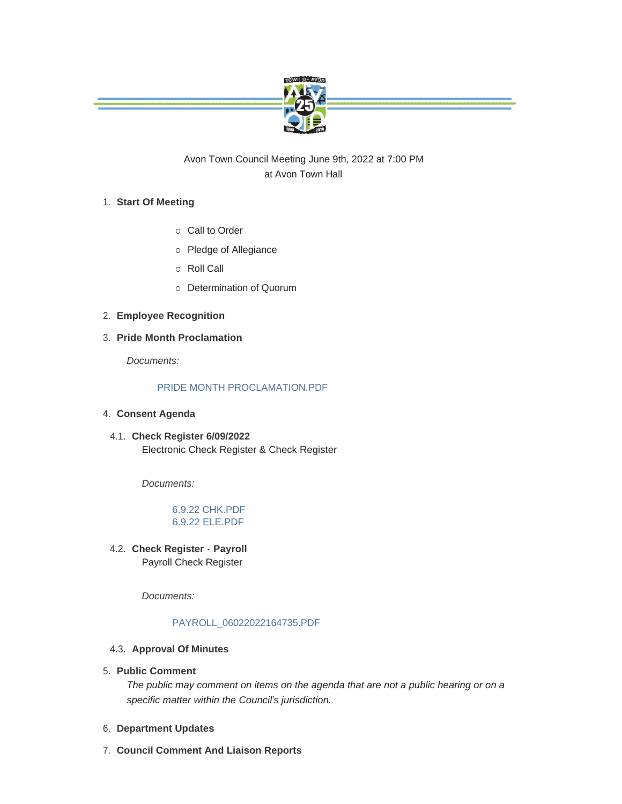

Avon Town Council Meeting June 9th, 2022 at 7:00 PM at Avon Town Hall

# **Start Of Meeting** 1.

- o Call to Order
- o Pledge of Allegiance
- o Roll Call
- o Determination of Quorum
- **Employee Recognition** 2.
- **Pride Month Proclamation** 3.

*Documents:*

# [PRIDE MONTH PROCLAMATION.PDF](https://www.avongov.org/AgendaCenter/ViewFile/Item/662?fileID=451)

- **Consent Agenda** 4.
	- **Check Register 6/09/2022** 4.1. Electronic Check Register & Check Register

*Documents:*

# [6.9.22 CHK.PDF](https://www.avongov.org/AgendaCenter/ViewFile/Item/622?fileID=434) [6.9.22 ELE.PDF](https://www.avongov.org/AgendaCenter/ViewFile/Item/622?fileID=435)

**Check Register - Payroll**  4.2. Payroll Check Register

*Documents:*

# [PAYROLL\\_06022022164735.PDF](https://www.avongov.org/AgendaCenter/ViewFile/Item/623?fileID=436)

- **4.3. Approval Of Minutes**
- **Public Comment** 5.

*The public may comment on items on the agenda that are not a public hearing or on a specific matter within the Council's jurisdiction.*

- **Department Updates** 6.
- **Council Comment And Liaison Reports** 7.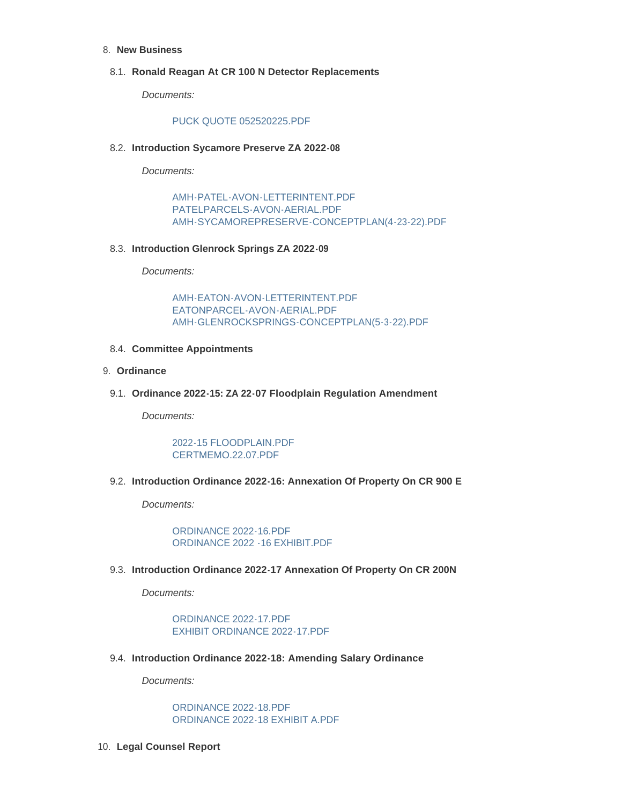## **New Business** 8.

## **Ronald Reagan At CR 100 N Detector Replacements** 8.1.

*Documents:*

#### [PUCK QUOTE 052520225.PDF](https://www.avongov.org/AgendaCenter/ViewFile/Item/641?fileID=445)

## **Introduction Sycamore Preserve ZA 2022-08** 8.2.

*Documents:*

[AMH-PATEL-AVON-LETTERINTENT.PDF](https://www.avongov.org/AgendaCenter/ViewFile/Item/642?fileID=438) [PATELPARCELS-AVON-AERIAL.PDF](https://www.avongov.org/AgendaCenter/ViewFile/Item/642?fileID=439) [AMH-SYCAMOREPRESERVE-CONCEPTPLAN\(4-23-22\).PDF](https://www.avongov.org/AgendaCenter/ViewFile/Item/642?fileID=440)

## **Introduction Glenrock Springs ZA 2022-09** 8.3.

*Documents:*

[AMH-EATON-AVON-LETTERINTENT.PDF](https://www.avongov.org/AgendaCenter/ViewFile/Item/643?fileID=441) [EATONPARCEL-AVON-AERIAL.PDF](https://www.avongov.org/AgendaCenter/ViewFile/Item/643?fileID=442) [AMH-GLENROCKSPRINGS-CONCEPTPLAN\(5-3-22\).PDF](https://www.avongov.org/AgendaCenter/ViewFile/Item/643?fileID=443)

## **Committee Appointments** 8.4.

#### **Ordinance** 9.

## **Ordinance 2022-15: ZA 22-07 Floodplain Regulation Amendment** 9.1.

*Documents:*

[2022-15 FLOODPLAIN.PDF](https://www.avongov.org/AgendaCenter/ViewFile/Item/555?fileID=437) [CERTMEMO.22.07.PDF](https://www.avongov.org/AgendaCenter/ViewFile/Item/555?fileID=444)

#### **Introduction Ordinance 2022-16: Annexation Of Property On CR 900 E** 9.2.

*Documents:*

[ORDINANCE 2022-16.PDF](https://www.avongov.org/AgendaCenter/ViewFile/Item/644?fileID=447) [ORDINANCE 2022 -16 EXHIBIT.PDF](https://www.avongov.org/AgendaCenter/ViewFile/Item/644?fileID=448)

**Introduction Ordinance 2022-17 Annexation Of Property On CR 200N** 9.3.

*Documents:*

[ORDINANCE 2022-17.PDF](https://www.avongov.org/AgendaCenter/ViewFile/Item/645?fileID=449) [EXHIBIT ORDINANCE 2022-17.PDF](https://www.avongov.org/AgendaCenter/ViewFile/Item/645?fileID=450)

**Introduction Ordinance 2022-18: Amending Salary Ordinance** 9.4.

*Documents:*

[ORDINANCE 2022-18.PDF](https://www.avongov.org/AgendaCenter/ViewFile/Item/646?fileID=452) [ORDINANCE 2022-18 EXHIBIT A.PDF](https://www.avongov.org/AgendaCenter/ViewFile/Item/646?fileID=453)

**Legal Counsel Report** 10.